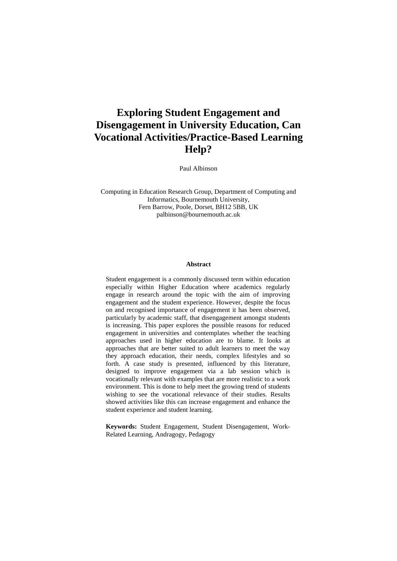# **Exploring Student Engagement and Disengagement in University Education, Can Vocational Activities/Practice-Based Learning Help?**

Paul Albinson

Computing in Education Research Group, Department of Computing and Informatics, Bournemouth University, Fern Barrow, Poole, Dorset, BH12 5BB, UK palbinson@bournemouth.ac.uk

#### **Abstract**

Student engagement is a commonly discussed term within education especially within Higher Education where academics regularly engage in research around the topic with the aim of improving engagement and the student experience. However, despite the focus on and recognised importance of engagement it has been observed, particularly by academic staff, that disengagement amongst students is increasing. This paper explores the possible reasons for reduced engagement in universities and contemplates whether the teaching approaches used in higher education are to blame. It looks at approaches that are better suited to adult learners to meet the way they approach education, their needs, complex lifestyles and so forth. A case study is presented, influenced by this literature, designed to improve engagement via a lab session which is vocationally relevant with examples that are more realistic to a work environment. This is done to help meet the growing trend of students wishing to see the vocational relevance of their studies. Results showed activities like this can increase engagement and enhance the student experience and student learning.

**Keywords:** Student Engagement, Student Disengagement, Work-Related Learning, Andragogy, Pedagogy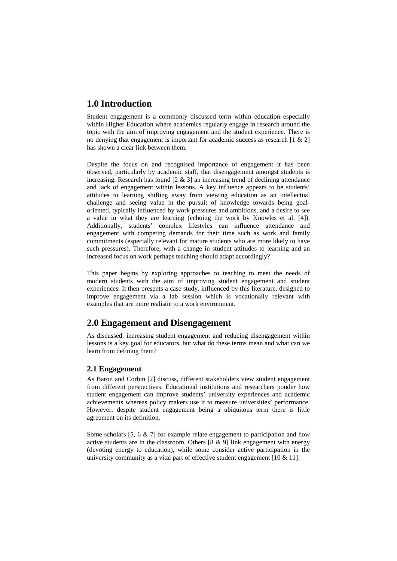## **1.0 Introduction**

Student engagement is a commonly discussed term within education especially within Higher Education where academics regularly engage in research around the topic with the aim of improving engagement and the student experience. There is no denying that engagement is important for academic success as research [1 & 2] has shown a clear link between them.

Despite the focus on and recognised importance of engagement it has been observed, particularly by academic staff, that disengagement amongst students is increasing. Research has found [2 & 3] an increasing trend of declining attendance and lack of engagement within lessons. A key influence appears to be students' attitudes to learning shifting away from viewing education as an intellectual challenge and seeing value in the pursuit of knowledge towards being goaloriented, typically influenced by work pressures and ambitions, and a desire to see a value in what they are learning (echoing the work by Knowles et al. [4]). Additionally, students' complex lifestyles can influence attendance and engagement with competing demands for their time such as work and family commitments (especially relevant for mature students who are more likely to have such pressures). Therefore, with a change in student attitudes to learning and an increased focus on work perhaps teaching should adapt accordingly?

This paper begins by exploring approaches to teaching to meet the needs of modern students with the aim of improving student engagement and student experiences. It then presents a case study, influenced by this literature, designed to improve engagement via a lab session which is vocationally relevant with examples that are more realistic to a work environment.

## **2.0 Engagement and Disengagement**

As discussed, increasing student engagement and reducing disengagement within lessons is a key goal for educators, but what do these terms mean and what can we learn from defining them?

### **2.1 Engagement**

As Baron and Corbin [2] discuss, different stakeholders view student engagement from different perspectives. Educational institutions and researchers ponder how student engagement can improve students' university experiences and academic achievements whereas policy makers use it to measure universities' performance. However, despite student engagement being a ubiquitous term there is little agreement on its definition.

Some scholars [5, 6 & 7] for example relate engagement to participation and how active students are in the classroom. Others  $[8 \& 9]$  link engagement with energy (devoting energy to education), while some consider active participation in the university community as a vital part of effective student engagement  $[10 \& 11]$ .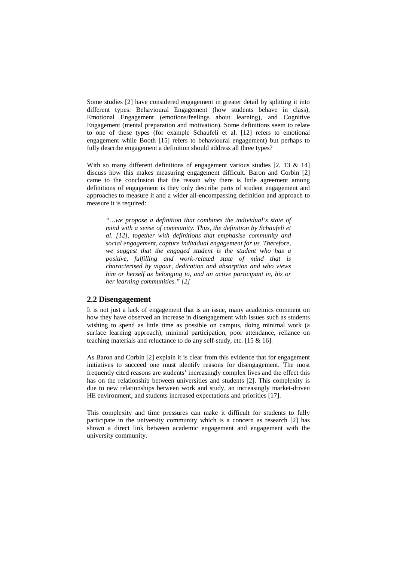Some studies [2] have considered engagement in greater detail by splitting it into different types: Behavioural Engagement (how students behave in class), Emotional Engagement (emotions/feelings about learning), and Cognitive Engagement (mental preparation and motivation). Some definitions seem to relate to one of these types (for example Schaufeli et al. [12] refers to emotional engagement while Booth [15] refers to behavioural engagement) but perhaps to fully describe engagement a definition should address all three types?

With so many different definitions of engagement various studies [2, 13 & 14] discuss how this makes measuring engagement difficult. Baron and Corbin [2] came to the conclusion that the reason why there is little agreement among definitions of engagement is they only describe parts of student engagement and approaches to measure it and a wider all-encompassing definition and approach to measure it is required:

*"…we propose a definition that combines the individual's state of mind with a sense of community. Thus, the definition by Schaufeli et al. [12], together with definitions that emphasise community and social engagement, capture individual engagement for us. Therefore, we suggest that the engaged student is the student who has a positive, fulfilling and work-related state of mind that is characterised by vigour, dedication and absorption and who views him or herself as belonging to, and an active participant in, his or her learning communities." [2]*

#### **2.2 Disengagement**

It is not just a lack of engagement that is an issue, many academics comment on how they have observed an increase in disengagement with issues such as students wishing to spend as little time as possible on campus, doing minimal work (a surface learning approach), minimal participation, poor attendance, reliance on teaching materials and reluctance to do any self-study, etc. [15 & 16].

As Baron and Corbin [2] explain it is clear from this evidence that for engagement initiatives to succeed one must identify reasons for disengagement. The most frequently cited reasons are students' increasingly complex lives and the effect this has on the relationship between universities and students [2]. This complexity is due to new relationships between work and study, an increasingly market-driven HE environment, and students increased expectations and priorities [17].

This complexity and time pressures can make it difficult for students to fully participate in the university community which is a concern as research [2] has shown a direct link between academic engagement and engagement with the university community.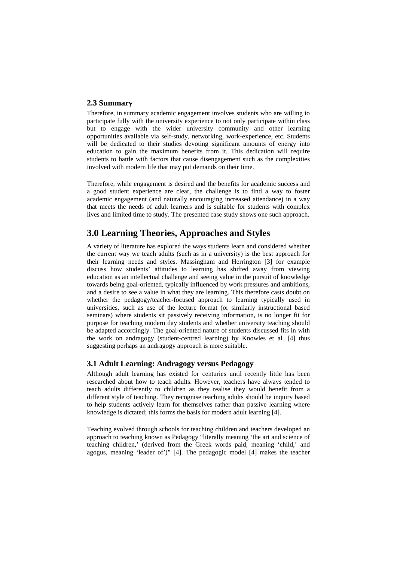#### **2.3 Summary**

Therefore, in summary academic engagement involves students who are willing to participate fully with the university experience to not only participate within class but to engage with the wider university community and other learning opportunities available via self-study, networking, work-experience, etc. Students will be dedicated to their studies devoting significant amounts of energy into education to gain the maximum benefits from it. This dedication will require students to battle with factors that cause disengagement such as the complexities involved with modern life that may put demands on their time.

Therefore, while engagement is desired and the benefits for academic success and a good student experience are clear, the challenge is to find a way to foster academic engagement (and naturally encouraging increased attendance) in a way that meets the needs of adult learners and is suitable for students with complex lives and limited time to study. The presented case study shows one such approach.

## **3.0 Learning Theories, Approaches and Styles**

A variety of literature has explored the ways students learn and considered whether the current way we teach adults (such as in a university) is the best approach for their learning needs and styles. Massingham and Herrington [3] for example discuss how students' attitudes to learning has shifted away from viewing education as an intellectual challenge and seeing value in the pursuit of knowledge towards being goal-oriented, typically influenced by work pressures and ambitions, and a desire to see a value in what they are learning. This therefore casts doubt on whether the pedagogy/teacher-focused approach to learning typically used in universities, such as use of the lecture format (or similarly instructional based seminars) where students sit passively receiving information, is no longer fit for purpose for teaching modern day students and whether university teaching should be adapted accordingly. The goal-oriented nature of students discussed fits in with the work on andragogy (student-centred learning) by Knowles et al. [4] thus suggesting perhaps an andragogy approach is more suitable.

#### **3.1 Adult Learning: Andragogy versus Pedagogy**

Although adult learning has existed for centuries until recently little has been researched about how to teach adults. However, teachers have always tended to teach adults differently to children as they realise they would benefit from a different style of teaching. They recognise teaching adults should be inquiry based to help students actively learn for themselves rather than passive learning where knowledge is dictated; this forms the basis for modern adult learning [4].

Teaching evolved through schools for teaching children and teachers developed an approach to teaching known as Pedagogy "literally meaning 'the art and science of teaching children,' (derived from the Greek words paid, meaning 'child,' and agogus, meaning 'leader of')" [4]. The pedagogic model [4] makes the teacher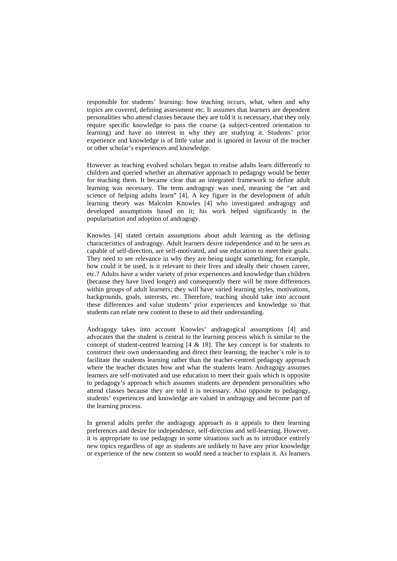responsible for students' learning: how teaching occurs, what, when and why topics are covered, defining assessment etc. It assumes that learners are dependent personalities who attend classes because they are told it is necessary, that they only require specific knowledge to pass the course (a subject-centred orientation to learning) and have no interest in why they are studying it. Students' prior experience and knowledge is of little value and is ignored in favour of the teacher or other scholar's experiences and knowledge.

However as teaching evolved scholars began to realise adults learn differently to children and queried whether an alternative approach to pedagogy would be better for teaching them. It became clear that an integrated framework to define adult learning was necessary. The term andragogy was used, meaning the "art and science of helping adults learn" [4]. A key figure in the development of adult learning theory was Malcolm Knowles [4] who investigated andragogy and developed assumptions based on it; his work helped significantly in the popularisation and adoption of andragogy.

Knowles [4] stated certain assumptions about adult learning as the defining characteristics of andragogy. Adult learners desire independence and to be seen as capable of self-direction, are self-motivated, and use education to meet their goals. They need to see relevance in why they are being taught something; for example, how could it be used, is it relevant to their lives and ideally their chosen career, etc.? Adults have a wider variety of prior experiences and knowledge than children (because they have lived longer) and consequently there will be more differences within groups of adult learners; they will have varied learning styles, motivations, backgrounds, goals, interests, etc. Therefore, teaching should take into account these differences and value students' prior experiences and knowledge so that students can relate new content to these to aid their understanding.

Andragogy takes into account Knowles' andragogical assumptions [4] and advocates that the student is central to the learning process which is similar to the concept of student-centred learning [4 & 18]. The key concept is for students to construct their own understanding and direct their learning; the teacher's role is to facilitate the students learning rather than the teacher-centred pedagogy approach where the teacher dictates how and what the students learn. Andragogy assumes learners are self-motivated and use education to meet their goals which is opposite to pedagogy's approach which assumes students are dependent personalities who attend classes because they are told it is necessary. Also opposite to pedagogy, students' experiences and knowledge are valued in andragogy and become part of the learning process.

In general adults prefer the andragogy approach as it appeals to their learning preferences and desire for independence, self-direction and self-learning. However, it is appropriate to use pedagogy in some situations such as to introduce entirely new topics regardless of age as students are unlikely to have any prior knowledge or experience of the new content so would need a teacher to explain it. As learners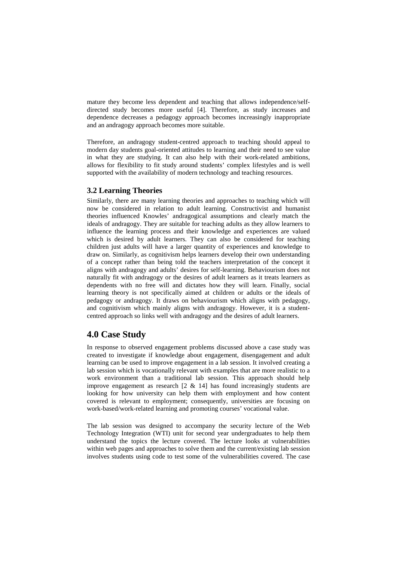mature they become less dependent and teaching that allows independence/selfdirected study becomes more useful [4]. Therefore, as study increases and dependence decreases a pedagogy approach becomes increasingly inappropriate and an andragogy approach becomes more suitable.

Therefore, an andragogy student-centred approach to teaching should appeal to modern day students goal-oriented attitudes to learning and their need to see value in what they are studying. It can also help with their work-related ambitions, allows for flexibility to fit study around students' complex lifestyles and is well supported with the availability of modern technology and teaching resources.

#### **3.2 Learning Theories**

Similarly, there are many learning theories and approaches to teaching which will now be considered in relation to adult learning. Constructivist and humanist theories influenced Knowles' andragogical assumptions and clearly match the ideals of andragogy. They are suitable for teaching adults as they allow learners to influence the learning process and their knowledge and experiences are valued which is desired by adult learners. They can also be considered for teaching children just adults will have a larger quantity of experiences and knowledge to draw on. Similarly, as cognitivism helps learners develop their own understanding of a concept rather than being told the teachers interpretation of the concept it aligns with andragogy and adults' desires for self-learning. Behaviourism does not naturally fit with andragogy or the desires of adult learners as it treats learners as dependents with no free will and dictates how they will learn. Finally, social learning theory is not specifically aimed at children or adults or the ideals of pedagogy or andragogy. It draws on behaviourism which aligns with pedagogy, and cognitivism which mainly aligns with andragogy. However, it is a studentcentred approach so links well with andragogy and the desires of adult learners.

## **4.0 Case Study**

In response to observed engagement problems discussed above a case study was created to investigate if knowledge about engagement, disengagement and adult learning can be used to improve engagement in a lab session. It involved creating a lab session which is vocationally relevant with examples that are more realistic to a work environment than a traditional lab session. This approach should help improve engagement as research [2 & 14] has found increasingly students are looking for how university can help them with employment and how content covered is relevant to employment; consequently, universities are focusing on work-based/work-related learning and promoting courses' vocational value.

The lab session was designed to accompany the security lecture of the Web Technology Integration (WTI) unit for second year undergraduates to help them understand the topics the lecture covered. The lecture looks at vulnerabilities within web pages and approaches to solve them and the current/existing lab session involves students using code to test some of the vulnerabilities covered. The case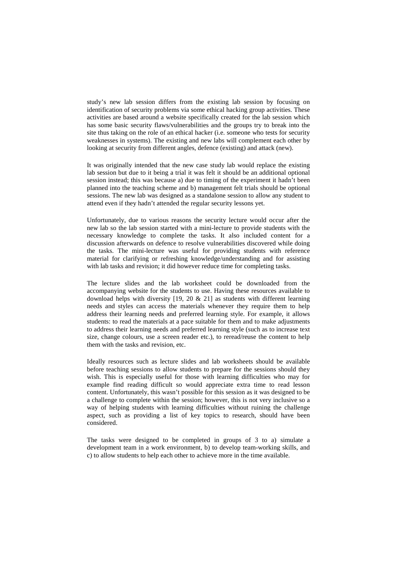study's new lab session differs from the existing lab session by focusing on identification of security problems via some ethical hacking group activities. These activities are based around a website specifically created for the lab session which has some basic security flaws/vulnerabilities and the groups try to break into the site thus taking on the role of an ethical hacker (i.e. someone who tests for security weaknesses in systems). The existing and new labs will complement each other by looking at security from different angles, defence (existing) and attack (new).

It was originally intended that the new case study lab would replace the existing lab session but due to it being a trial it was felt it should be an additional optional session instead; this was because a) due to timing of the experiment it hadn't been planned into the teaching scheme and b) management felt trials should be optional sessions. The new lab was designed as a standalone session to allow any student to attend even if they hadn't attended the regular security lessons yet.

Unfortunately, due to various reasons the security lecture would occur after the new lab so the lab session started with a mini-lecture to provide students with the necessary knowledge to complete the tasks. It also included content for a discussion afterwards on defence to resolve vulnerabilities discovered while doing the tasks. The mini-lecture was useful for providing students with reference material for clarifying or refreshing knowledge/understanding and for assisting with lab tasks and revision; it did however reduce time for completing tasks.

The lecture slides and the lab worksheet could be downloaded from the accompanying website for the students to use. Having these resources available to download helps with diversity [19, 20 & 21] as students with different learning needs and styles can access the materials whenever they require them to help address their learning needs and preferred learning style. For example, it allows students: to read the materials at a pace suitable for them and to make adjustments to address their learning needs and preferred learning style (such as to increase text size, change colours, use a screen reader etc.), to reread/reuse the content to help them with the tasks and revision, etc.

Ideally resources such as lecture slides and lab worksheets should be available before teaching sessions to allow students to prepare for the sessions should they wish. This is especially useful for those with learning difficulties who may for example find reading difficult so would appreciate extra time to read lesson content. Unfortunately, this wasn't possible for this session as it was designed to be a challenge to complete within the session; however, this is not very inclusive so a way of helping students with learning difficulties without ruining the challenge aspect, such as providing a list of key topics to research, should have been considered.

The tasks were designed to be completed in groups of 3 to a) simulate a development team in a work environment, b) to develop team-working skills, and c) to allow students to help each other to achieve more in the time available.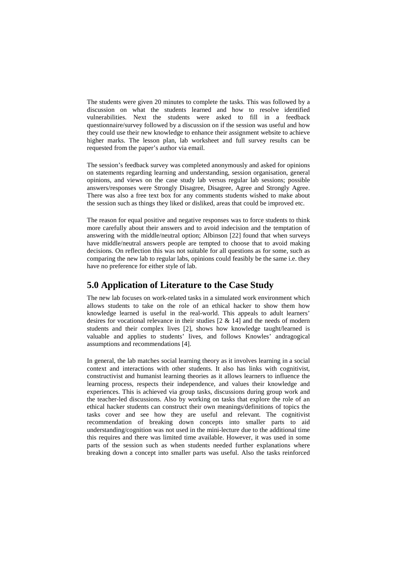The students were given 20 minutes to complete the tasks. This was followed by a discussion on what the students learned and how to resolve identified vulnerabilities. Next the students were asked to fill in a feedback questionnaire/survey followed by a discussion on if the session was useful and how they could use their new knowledge to enhance their assignment website to achieve higher marks. The lesson plan, lab worksheet and full survey results can be requested from the paper's author via email.

The session's feedback survey was completed anonymously and asked for opinions on statements regarding learning and understanding, session organisation, general opinions, and views on the case study lab versus regular lab sessions; possible answers/responses were Strongly Disagree, Disagree, Agree and Strongly Agree. There was also a free text box for any comments students wished to make about the session such as things they liked or disliked, areas that could be improved etc.

The reason for equal positive and negative responses was to force students to think more carefully about their answers and to avoid indecision and the temptation of answering with the middle/neutral option; Albinson [22] found that when surveys have middle/neutral answers people are tempted to choose that to avoid making decisions. On reflection this was not suitable for all questions as for some, such as comparing the new lab to regular labs, opinions could feasibly be the same i.e. they have no preference for either style of lab.

## **5.0 Application of Literature to the Case Study**

The new lab focuses on work-related tasks in a simulated work environment which allows students to take on the role of an ethical hacker to show them how knowledge learned is useful in the real-world. This appeals to adult learners' desires for vocational relevance in their studies [2 & 14] and the needs of modern students and their complex lives [2], shows how knowledge taught/learned is valuable and applies to students' lives, and follows Knowles' andragogical assumptions and recommendations [4].

In general, the lab matches social learning theory as it involves learning in a social context and interactions with other students. It also has links with cognitivist, constructivist and humanist learning theories as it allows learners to influence the learning process, respects their independence, and values their knowledge and experiences. This is achieved via group tasks, discussions during group work and the teacher-led discussions. Also by working on tasks that explore the role of an ethical hacker students can construct their own meanings/definitions of topics the tasks cover and see how they are useful and relevant. The cognitivist recommendation of breaking down concepts into smaller parts to aid understanding/cognition was not used in the mini-lecture due to the additional time this requires and there was limited time available. However, it was used in some parts of the session such as when students needed further explanations where breaking down a concept into smaller parts was useful. Also the tasks reinforced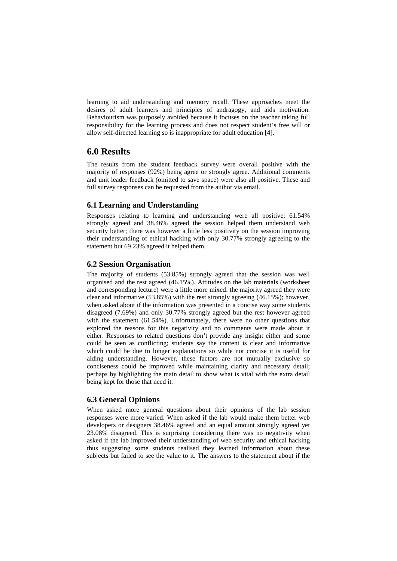learning to aid understanding and memory recall. These approaches meet the desires of adult learners and principles of andragogy, and aids motivation. Behaviourism was purposely avoided because it focuses on the teacher taking full responsibility for the learning process and does not respect student's free will or allow self-directed learning so is inappropriate for adult education [4].

## **6.0 Results**

The results from the student feedback survey were overall positive with the majority of responses (92%) being agree or strongly agree. Additional comments and unit leader feedback (omitted to save space) were also all positive. These and full survey responses can be requested from the author via email.

### **6.1 Learning and Understanding**

Responses relating to learning and understanding were all positive: 61.54% strongly agreed and 38.46% agreed the session helped them understand web security better; there was however a little less positivity on the session improving their understanding of ethical hacking with only 30.77% strongly agreeing to the statement but 69.23% agreed it helped them.

#### **6.2 Session Organisation**

The majority of students (53.85%) strongly agreed that the session was well organised and the rest agreed (46.15%). Attitudes on the lab materials (worksheet and corresponding lecture) were a little more mixed: the majority agreed they were clear and informative (53.85%) with the rest strongly agreeing (46.15%); however, when asked about if the information was presented in a concise way some students disagreed (7.69%) and only 30.77% strongly agreed but the rest however agreed with the statement (61.54%). Unfortunately, there were no other questions that explored the reasons for this negativity and no comments were made about it either. Responses to related questions don't provide any insight either and some could be seen as conflicting; students say the content is clear and informative which could be due to longer explanations so while not concise it is useful for aiding understanding. However, these factors are not mutually exclusive so conciseness could be improved while maintaining clarity and necessary detail; perhaps by highlighting the main detail to show what is vital with the extra detail being kept for those that need it.

#### **6.3 General Opinions**

When asked more general questions about their opinions of the lab session responses were more varied. When asked if the lab would make them better web developers or designers 38.46% agreed and an equal amount strongly agreed yet 23.08% disagreed. This is surprising considering there was no negativity when asked if the lab improved their understanding of web security and ethical hacking thus suggesting some students realised they learned information about these subjects but failed to see the value to it. The answers to the statement about if the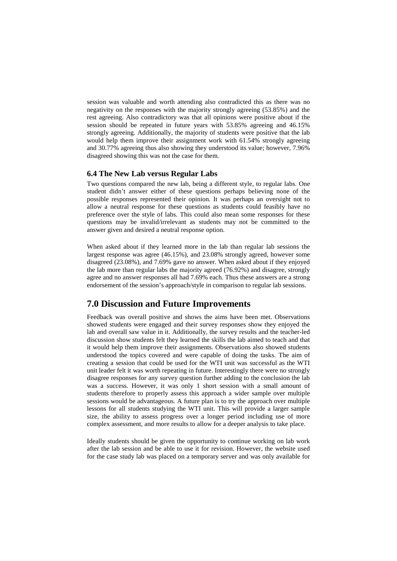session was valuable and worth attending also contradicted this as there was no negativity on the responses with the majority strongly agreeing (53.85%) and the rest agreeing. Also contradictory was that all opinions were positive about if the session should be repeated in future years with 53.85% agreeing and 46.15% strongly agreeing. Additionally, the majority of students were positive that the lab would help them improve their assignment work with 61.54% strongly agreeing and 30.77% agreeing thus also showing they understood its value; however, 7.96% disagreed showing this was not the case for them.

#### **6.4 The New Lab versus Regular Labs**

Two questions compared the new lab, being a different style, to regular labs. One student didn't answer either of these questions perhaps believing none of the possible responses represented their opinion. It was perhaps an oversight not to allow a neutral response for these questions as students could feasibly have no preference over the style of labs. This could also mean some responses for these questions may be invalid/irrelevant as students may not be committed to the answer given and desired a neutral response option.

When asked about if they learned more in the lab than regular lab sessions the largest response was agree (46.15%), and 23.08% strongly agreed, however some disagreed (23.08%), and 7.69% gave no answer. When asked about if they enjoyed the lab more than regular labs the majority agreed (76.92%) and disagree, strongly agree and no answer responses all had 7.69% each. Thus these answers are a strong endorsement of the session's approach/style in comparison to regular lab sessions.

### **7.0 Discussion and Future Improvements**

Feedback was overall positive and shows the aims have been met. Observations showed students were engaged and their survey responses show they enjoyed the lab and overall saw value in it. Additionally, the survey results and the teacher-led discussion show students felt they learned the skills the lab aimed to teach and that it would help them improve their assignments. Observations also showed students understood the topics covered and were capable of doing the tasks. The aim of creating a session that could be used for the WTI unit was successful as the WTI unit leader felt it was worth repeating in future. Interestingly there were no strongly disagree responses for any survey question further adding to the conclusion the lab was a success. However, it was only 1 short session with a small amount of students therefore to properly assess this approach a wider sample over multiple sessions would be advantageous. A future plan is to try the approach over multiple lessons for all students studying the WTI unit. This will provide a larger sample size, the ability to assess progress over a longer period including use of more complex assessment, and more results to allow for a deeper analysis to take place.

Ideally students should be given the opportunity to continue working on lab work after the lab session and be able to use it for revision. However, the website used for the case study lab was placed on a temporary server and was only available for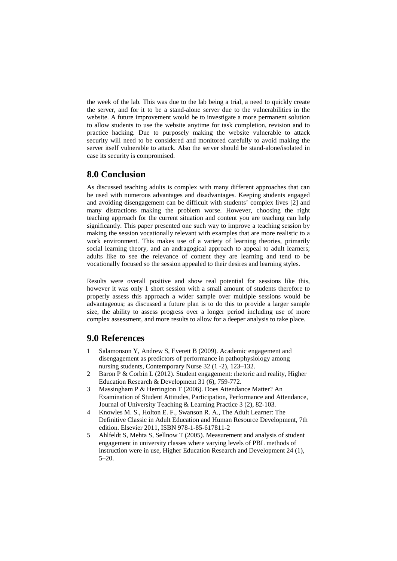the week of the lab. This was due to the lab being a trial, a need to quickly create the server, and for it to be a stand-alone server due to the vulnerabilities in the website. A future improvement would be to investigate a more permanent solution to allow students to use the website anytime for task completion, revision and to practice hacking. Due to purposely making the website vulnerable to attack security will need to be considered and monitored carefully to avoid making the server itself vulnerable to attack. Also the server should be stand-alone/isolated in case its security is compromised.

## **8.0 Conclusion**

As discussed teaching adults is complex with many different approaches that can be used with numerous advantages and disadvantages. Keeping students engaged and avoiding disengagement can be difficult with students' complex lives [2] and many distractions making the problem worse. However, choosing the right teaching approach for the current situation and content you are teaching can help significantly. This paper presented one such way to improve a teaching session by making the session vocationally relevant with examples that are more realistic to a work environment. This makes use of a variety of learning theories, primarily social learning theory, and an andragogical approach to appeal to adult learners; adults like to see the relevance of content they are learning and tend to be vocationally focused so the session appealed to their desires and learning styles.

Results were overall positive and show real potential for sessions like this, however it was only 1 short session with a small amount of students therefore to properly assess this approach a wider sample over multiple sessions would be advantageous; as discussed a future plan is to do this to provide a larger sample size, the ability to assess progress over a longer period including use of more complex assessment, and more results to allow for a deeper analysis to take place.

### **9.0 References**

- 1 Salamonson Y, Andrew S, Everett B (2009). Academic engagement and disengagement as predictors of performance in pathophysiology among nursing students, Contemporary Nurse 32 (1 -2), 123–132.
- 2 Baron P & Corbin L (2012). Student engagement: rhetoric and reality, Higher Education Research & Development 31 (6), 759-772.
- 3 Massingham P & Herrington T (2006). Does Attendance Matter? An Examination of Student Attitudes, Participation, Performance and Attendance, Journal of University Teaching & Learning Practice 3 (2), 82-103.
- 4 Knowles M. S., Holton E. F., Swanson R. A., The Adult Learner: The Definitive Classic in Adult Education and Human Resource Development, 7th edition. Elsevier 2011, ISBN 978-1-85-617811-2
- 5 Ahlfeldt S, Mehta S, Sellnow T (2005). Measurement and analysis of student engagement in university classes where varying levels of PBL methods of instruction were in use, Higher Education Research and Development 24 (1), 5–20.